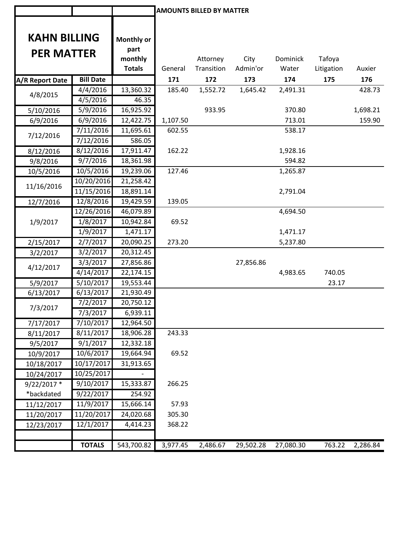|                     |                  |                 |          | <b>AMOUNTS BILLED BY MATTER</b> |           |           |            |          |
|---------------------|------------------|-----------------|----------|---------------------------------|-----------|-----------|------------|----------|
|                     |                  |                 |          |                                 |           |           |            |          |
| <b>KAHN BILLING</b> |                  |                 |          |                                 |           |           |            |          |
|                     |                  | Monthly or      |          |                                 |           |           |            |          |
| <b>PER MATTER</b>   |                  | part<br>monthly |          | Attorney                        | City      | Dominick  | Tafoya     |          |
|                     |                  | <b>Totals</b>   | General  | Transition                      | Admin'or  | Water     | Litigation | Auxier   |
| A/R Report Date     | <b>Bill Date</b> |                 | 171      | 172                             | 173       | 174       | 175        | 176      |
|                     | 4/4/2016         | 13,360.32       | 185.40   | 1,552.72                        | 1,645.42  | 2,491.31  |            | 428.73   |
| 4/8/2015            | 4/5/2016         | 46.35           |          |                                 |           |           |            |          |
| 5/10/2016           | 5/9/2016         | 16,925.92       |          | 933.95                          |           | 370.80    |            | 1,698.21 |
| 6/9/2016            | 6/9/2016         | 12,422.75       | 1,107.50 |                                 |           | 713.01    |            | 159.90   |
|                     | 7/11/2016        | 11,695.61       | 602.55   |                                 |           | 538.17    |            |          |
| 7/12/2016           | 7/12/2016        | 586.05          |          |                                 |           |           |            |          |
| 8/12/2016           | 8/12/2016        | 17,911.47       | 162.22   |                                 |           | 1,928.16  |            |          |
| 9/8/2016            | 9/7/2016         | 18,361.98       |          |                                 |           | 594.82    |            |          |
| 10/5/2016           | 10/5/2016        | 19,239.06       | 127.46   |                                 |           | 1,265.87  |            |          |
|                     | 10/20/2016       | 21,258.42       |          |                                 |           |           |            |          |
| 11/16/2016          | 11/15/2016       | 18,891.14       |          |                                 |           | 2,791.04  |            |          |
| 12/7/2016           | 12/8/2016        | 19,429.59       | 139.05   |                                 |           |           |            |          |
|                     | 12/26/2016       | 46,079.89       |          |                                 |           | 4,694.50  |            |          |
| 1/9/2017            | 1/8/2017         | 10,942.84       | 69.52    |                                 |           |           |            |          |
|                     | 1/9/2017         | 1,471.17        |          |                                 |           | 1,471.17  |            |          |
| 2/15/2017           | 2/7/2017         | 20,090.25       | 273.20   |                                 |           | 5,237.80  |            |          |
| 3/2/2017            | 3/2/2017         | 20,312.45       |          |                                 |           |           |            |          |
| 4/12/2017           | 3/3/2017         | 27,856.86       |          |                                 | 27,856.86 |           |            |          |
|                     | 4/14/2017        | 22,174.15       |          |                                 |           | 4,983.65  | 740.05     |          |
| 5/9/2017            | 5/10/2017        | 19,553.44       |          |                                 |           |           | 23.17      |          |
| 6/13/2017           | 6/13/2017        | 21,930.49       |          |                                 |           |           |            |          |
| 7/3/2017            | 7/2/2017         | 20,750.12       |          |                                 |           |           |            |          |
|                     | 7/3/2017         | 6,939.11        |          |                                 |           |           |            |          |
| 7/17/2017           | 7/10/2017        | 12,964.50       |          |                                 |           |           |            |          |
| 8/11/2017           | 8/11/2017        | 18,906.28       | 243.33   |                                 |           |           |            |          |
| 9/5/2017            | 9/1/2017         | 12,332.18       |          |                                 |           |           |            |          |
| 10/9/2017           | 10/6/2017        | 19,664.94       | 69.52    |                                 |           |           |            |          |
| 10/18/2017          | 10/17/2017       | 31,913.65       |          |                                 |           |           |            |          |
| 10/24/2017          | 10/25/2017       |                 |          |                                 |           |           |            |          |
| 9/22/2017 *         | 9/10/2017        | 15,333.87       | 266.25   |                                 |           |           |            |          |
| *backdated          | 9/22/2017        | 254.92          |          |                                 |           |           |            |          |
| 11/12/2017          | 11/9/2017        | 15,666.14       | 57.93    |                                 |           |           |            |          |
| 11/20/2017          | 11/20/2017       | 24,020.68       | 305.30   |                                 |           |           |            |          |
| 12/23/2017          | 12/1/2017        | 4,414.23        | 368.22   |                                 |           |           |            |          |
|                     |                  |                 |          |                                 |           |           |            |          |
|                     | <b>TOTALS</b>    | 543,700.82      | 3,977.45 | 2,486.67                        | 29,502.28 | 27,080.30 | 763.22     | 2,286.84 |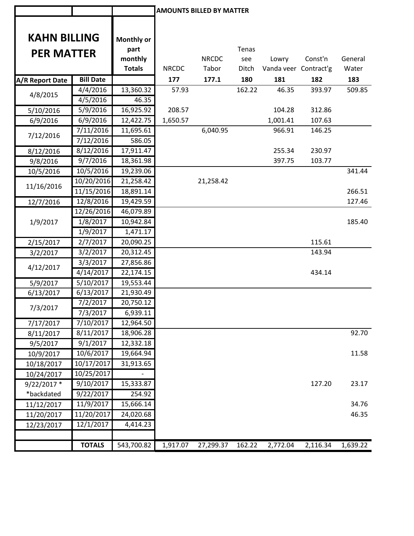|                        |                  |                          |              | <b>AMOUNTS BILLED BY MATTER</b> |              |                                |          |          |
|------------------------|------------------|--------------------------|--------------|---------------------------------|--------------|--------------------------------|----------|----------|
|                        |                  |                          |              |                                 |              |                                |          |          |
| <b>KAHN BILLING</b>    |                  |                          |              |                                 |              |                                |          |          |
|                        |                  | Monthly or               |              |                                 |              |                                |          |          |
| <b>PER MATTER</b>      |                  | part                     |              | <b>NRCDC</b>                    | Tenas        |                                | Const'n  | General  |
|                        |                  | monthly<br><b>Totals</b> | <b>NRCDC</b> | Tabor                           | see<br>Ditch | Lowry<br>Vanda veer Contract'g |          | Water    |
|                        | <b>Bill Date</b> |                          | 177          |                                 | 180          | 181                            | 182      | 183      |
| <b>A/R Report Date</b> | 4/4/2016         | 13,360.32                | 57.93        | 177.1                           | 162.22       | 46.35                          | 393.97   | 509.85   |
| 4/8/2015               | 4/5/2016         | 46.35                    |              |                                 |              |                                |          |          |
| 5/10/2016              | 5/9/2016         | 16,925.92                | 208.57       |                                 |              | 104.28                         | 312.86   |          |
|                        | 6/9/2016         | 12,422.75                | 1,650.57     |                                 |              | 1,001.41                       | 107.63   |          |
| 6/9/2016               | 7/11/2016        | 11,695.61                |              | 6,040.95                        |              | 966.91                         | 146.25   |          |
| 7/12/2016              | 7/12/2016        | 586.05                   |              |                                 |              |                                |          |          |
| 8/12/2016              | 8/12/2016        | 17,911.47                |              |                                 |              | 255.34                         | 230.97   |          |
| 9/8/2016               | 9/7/2016         | 18,361.98                |              |                                 |              | 397.75                         | 103.77   |          |
| 10/5/2016              | 10/5/2016        | 19,239.06                |              |                                 |              |                                |          | 341.44   |
|                        | 10/20/2016       | 21,258.42                |              | 21,258.42                       |              |                                |          |          |
| 11/16/2016             | 11/15/2016       | 18,891.14                |              |                                 |              |                                |          | 266.51   |
| 12/7/2016              | 12/8/2016        | 19,429.59                |              |                                 |              |                                |          | 127.46   |
|                        | 12/26/2016       | 46,079.89                |              |                                 |              |                                |          |          |
| 1/9/2017               | 1/8/2017         | 10,942.84                |              |                                 |              |                                |          | 185.40   |
|                        | 1/9/2017         | 1,471.17                 |              |                                 |              |                                |          |          |
| 2/15/2017              | 2/7/2017         | 20,090.25                |              |                                 |              |                                | 115.61   |          |
| 3/2/2017               | 3/2/2017         | 20,312.45                |              |                                 |              |                                | 143.94   |          |
|                        | 3/3/2017         | 27,856.86                |              |                                 |              |                                |          |          |
| 4/12/2017              | 4/14/2017        | 22,174.15                |              |                                 |              |                                | 434.14   |          |
| 5/9/2017               | 5/10/2017        | 19,553.44                |              |                                 |              |                                |          |          |
| 6/13/2017              | 6/13/2017        | 21,930.49                |              |                                 |              |                                |          |          |
|                        | 7/2/2017         | 20,750.12                |              |                                 |              |                                |          |          |
| 7/3/2017               | 7/3/2017         | 6,939.11                 |              |                                 |              |                                |          |          |
| 7/17/2017              | 7/10/2017        | 12,964.50                |              |                                 |              |                                |          |          |
| 8/11/2017              | 8/11/2017        | 18,906.28                |              |                                 |              |                                |          | 92.70    |
| 9/5/2017               | 9/1/2017         | 12,332.18                |              |                                 |              |                                |          |          |
| 10/9/2017              | 10/6/2017        | 19,664.94                |              |                                 |              |                                |          | 11.58    |
| 10/18/2017             | 10/17/2017       | 31,913.65                |              |                                 |              |                                |          |          |
| 10/24/2017             | 10/25/2017       |                          |              |                                 |              |                                |          |          |
| $9/22/2017$ *          | 9/10/2017        | 15,333.87                |              |                                 |              |                                | 127.20   | 23.17    |
| *backdated             | 9/22/2017        | 254.92                   |              |                                 |              |                                |          |          |
| 11/12/2017             | 11/9/2017        | 15,666.14                |              |                                 |              |                                |          | 34.76    |
| 11/20/2017             | 11/20/2017       | 24,020.68                |              |                                 |              |                                |          | 46.35    |
| 12/23/2017             | 12/1/2017        | 4,414.23                 |              |                                 |              |                                |          |          |
|                        |                  |                          |              |                                 |              |                                |          |          |
|                        | <b>TOTALS</b>    | 543,700.82               | 1,917.07     | 27,299.37                       | 162.22       | 2,772.04                       | 2,116.34 | 1,639.22 |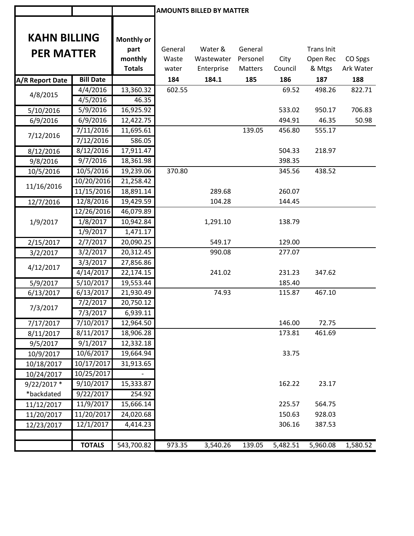|                     |                  |                          |                | <b>AMOUNTS BILLED BY MATTER</b> |                     |                 |                    |                      |
|---------------------|------------------|--------------------------|----------------|---------------------------------|---------------------|-----------------|--------------------|----------------------|
|                     |                  |                          |                |                                 |                     |                 |                    |                      |
| <b>KAHN BILLING</b> |                  |                          |                |                                 |                     |                 |                    |                      |
|                     |                  | <b>Monthly or</b>        |                |                                 |                     |                 |                    |                      |
| <b>PER MATTER</b>   |                  | part                     | General        | Water &                         | General             |                 | <b>Trans Init</b>  |                      |
|                     |                  | monthly<br><b>Totals</b> | Waste<br>water | Wastewater<br>Enterprise        | Personel<br>Matters | City<br>Council | Open Rec<br>& Mtgs | CO Spgs<br>Ark Water |
|                     | <b>Bill Date</b> |                          | 184            | 184.1                           | 185                 | 186             | 187                | 188                  |
| A/R Report Date     | 4/4/2016         | 13,360.32                | 602.55         |                                 |                     | 69.52           | 498.26             | 822.71               |
| 4/8/2015            | 4/5/2016         | 46.35                    |                |                                 |                     |                 |                    |                      |
| 5/10/2016           | 5/9/2016         | 16,925.92                |                |                                 |                     | 533.02          | 950.17             | 706.83               |
| 6/9/2016            | 6/9/2016         | 12,422.75                |                |                                 |                     | 494.91          | 46.35              | 50.98                |
|                     | 7/11/2016        | 11,695.61                |                |                                 | 139.05              | 456.80          | 555.17             |                      |
| 7/12/2016           | 7/12/2016        | 586.05                   |                |                                 |                     |                 |                    |                      |
| 8/12/2016           | 8/12/2016        | 17,911.47                |                |                                 |                     | 504.33          | 218.97             |                      |
| 9/8/2016            | 9/7/2016         | 18,361.98                |                |                                 |                     | 398.35          |                    |                      |
| 10/5/2016           | 10/5/2016        | 19,239.06                | 370.80         |                                 |                     | 345.56          | 438.52             |                      |
|                     | 10/20/2016       | 21,258.42                |                |                                 |                     |                 |                    |                      |
| 11/16/2016          | 11/15/2016       | 18,891.14                |                | 289.68                          |                     | 260.07          |                    |                      |
| 12/7/2016           | 12/8/2016        | 19,429.59                |                | 104.28                          |                     | 144.45          |                    |                      |
|                     | 12/26/2016       | 46,079.89                |                |                                 |                     |                 |                    |                      |
| 1/9/2017            | 1/8/2017         | 10,942.84                |                | 1,291.10                        |                     | 138.79          |                    |                      |
|                     | 1/9/2017         | 1,471.17                 |                |                                 |                     |                 |                    |                      |
| 2/15/2017           | 2/7/2017         | 20,090.25                |                | 549.17                          |                     | 129.00          |                    |                      |
| 3/2/2017            | 3/2/2017         | 20,312.45                |                | 990.08                          |                     | 277.07          |                    |                      |
|                     | 3/3/2017         | 27,856.86                |                |                                 |                     |                 |                    |                      |
| 4/12/2017           | 4/14/2017        | 22,174.15                |                | 241.02                          |                     | 231.23          | 347.62             |                      |
| 5/9/2017            | 5/10/2017        | 19,553.44                |                |                                 |                     | 185.40          |                    |                      |
| 6/13/2017           | 6/13/2017        | 21,930.49                |                | 74.93                           |                     | 115.87          | 467.10             |                      |
| 7/3/2017            | 7/2/2017         | 20,750.12                |                |                                 |                     |                 |                    |                      |
|                     | 7/3/2017         | 6,939.11                 |                |                                 |                     |                 |                    |                      |
| 7/17/2017           | 7/10/2017        | 12,964.50                |                |                                 |                     | 146.00          | 72.75              |                      |
| 8/11/2017           | 8/11/2017        | 18,906.28                |                |                                 |                     | 173.81          | 461.69             |                      |
| 9/5/2017            | 9/1/2017         | 12,332.18                |                |                                 |                     |                 |                    |                      |
| 10/9/2017           | 10/6/2017        | 19,664.94                |                |                                 |                     | 33.75           |                    |                      |
| 10/18/2017          | 10/17/2017       | 31,913.65                |                |                                 |                     |                 |                    |                      |
| 10/24/2017          | 10/25/2017       |                          |                |                                 |                     |                 |                    |                      |
| $9/22/2017$ *       | 9/10/2017        | 15,333.87                |                |                                 |                     | 162.22          | 23.17              |                      |
| *backdated          | 9/22/2017        | 254.92                   |                |                                 |                     |                 |                    |                      |
| 11/12/2017          | 11/9/2017        | 15,666.14                |                |                                 |                     | 225.57          | 564.75             |                      |
| 11/20/2017          | 11/20/2017       | 24,020.68                |                |                                 |                     | 150.63          | 928.03             |                      |
| 12/23/2017          | 12/1/2017        | 4,414.23                 |                |                                 |                     | 306.16          | 387.53             |                      |
|                     |                  |                          |                |                                 |                     |                 |                    |                      |
|                     | <b>TOTALS</b>    | 543,700.82               | 973.35         | 3,540.26                        | 139.05              | 5,482.51        | 5,960.08           | 1,580.52             |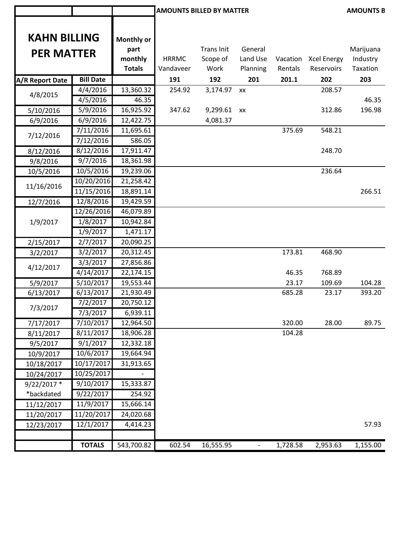|                     |                  |                   |              | <b>AMOUNTS BILLED BY MATTER</b> |                          |          |                      | <b>AMOUNTS B</b> |
|---------------------|------------------|-------------------|--------------|---------------------------------|--------------------------|----------|----------------------|------------------|
| <b>KAHN BILLING</b> |                  | <b>Monthly or</b> |              |                                 |                          |          |                      |                  |
| <b>PER MATTER</b>   |                  | part              |              | Trans Init                      | General                  |          |                      | Marijuana        |
|                     |                  | monthly           | <b>HRRMC</b> | Scope of                        | Land Use                 |          | Vacation Xcel Energy | Industry         |
|                     |                  | <b>Totals</b>     | Vandaveer    | Work                            | Planning                 | Rentals  | Reservoirs           | Taxation         |
| A/R Report Date     | <b>Bill Date</b> |                   | 191          | 192                             | 201                      | 201.1    | 202                  | 203              |
| 4/8/2015            | 4/4/2016         | 13,360.32         | 254.92       | 3,174.97                        | XX                       |          | 208.57               |                  |
|                     | 4/5/2016         | 46.35             |              |                                 |                          |          |                      | 46.35            |
| 5/10/2016           | 5/9/2016         | 16,925.92         | 347.62       | 9,299.61 xx                     |                          |          | 312.86               | 196.98           |
| 6/9/2016            | 6/9/2016         | 12,422.75         |              | 4,081.37                        |                          |          |                      |                  |
| 7/12/2016           | 7/11/2016        | 11,695.61         |              |                                 |                          | 375.69   | 548.21               |                  |
|                     | 7/12/2016        | 586.05            |              |                                 |                          |          |                      |                  |
| 8/12/2016           | 8/12/2016        | 17,911.47         |              |                                 |                          |          | 248.70               |                  |
| 9/8/2016            | 9/7/2016         | 18,361.98         |              |                                 |                          |          |                      |                  |
| 10/5/2016           | 10/5/2016        | 19,239.06         |              |                                 |                          |          | 236.64               |                  |
| 11/16/2016          | 10/20/2016       | 21,258.42         |              |                                 |                          |          |                      |                  |
|                     | 11/15/2016       | 18,891.14         |              |                                 |                          |          |                      | 266.51           |
| 12/7/2016           | 12/8/2016        | 19,429.59         |              |                                 |                          |          |                      |                  |
|                     | 12/26/2016       | 46,079.89         |              |                                 |                          |          |                      |                  |
| 1/9/2017            | 1/8/2017         | 10,942.84         |              |                                 |                          |          |                      |                  |
|                     | 1/9/2017         | 1,471.17          |              |                                 |                          |          |                      |                  |
| 2/15/2017           | 2/7/2017         | 20,090.25         |              |                                 |                          |          |                      |                  |
| 3/2/2017            | 3/2/2017         | 20,312.45         |              |                                 |                          | 173.81   | 468.90               |                  |
| 4/12/2017           | 3/3/2017         | 27,856.86         |              |                                 |                          |          |                      |                  |
|                     | 4/14/2017        | 22,174.15         |              |                                 |                          | 46.35    | 768.89               |                  |
| 5/9/2017            | 5/10/2017        | 19,553.44         |              |                                 |                          | 23.17    | 109.69               | 104.28           |
| 6/13/2017           | 6/13/2017        | 21,930.49         |              |                                 |                          | 685.28   | 23.17                | 393.20           |
| 7/3/2017            | 7/2/2017         | 20,750.12         |              |                                 |                          |          |                      |                  |
|                     | 7/3/2017         | 6,939.11          |              |                                 |                          |          |                      |                  |
| 7/17/2017           | 7/10/2017        | 12,964.50         |              |                                 |                          | 320.00   | 28.00                | 89.75            |
| 8/11/2017           | 8/11/2017        | 18,906.28         |              |                                 |                          | 104.28   |                      |                  |
| 9/5/2017            | 9/1/2017         | 12,332.18         |              |                                 |                          |          |                      |                  |
| 10/9/2017           | 10/6/2017        | 19,664.94         |              |                                 |                          |          |                      |                  |
| 10/18/2017          | 10/17/2017       | 31,913.65         |              |                                 |                          |          |                      |                  |
| 10/24/2017          | 10/25/2017       |                   |              |                                 |                          |          |                      |                  |
| $9/22/2017$ *       | 9/10/2017        | 15,333.87         |              |                                 |                          |          |                      |                  |
| *backdated          | 9/22/2017        | 254.92            |              |                                 |                          |          |                      |                  |
| 11/12/2017          | 11/9/2017        | 15,666.14         |              |                                 |                          |          |                      |                  |
| 11/20/2017          | 11/20/2017       | 24,020.68         |              |                                 |                          |          |                      |                  |
| 12/23/2017          | 12/1/2017        | 4,414.23          |              |                                 |                          |          |                      | 57.93            |
|                     | <b>TOTALS</b>    | 543,700.82        | 602.54       | 16,555.95                       | $\overline{\phantom{a}}$ | 1,728.58 | 2,953.63             | 1,155.00         |
|                     |                  |                   |              |                                 |                          |          |                      |                  |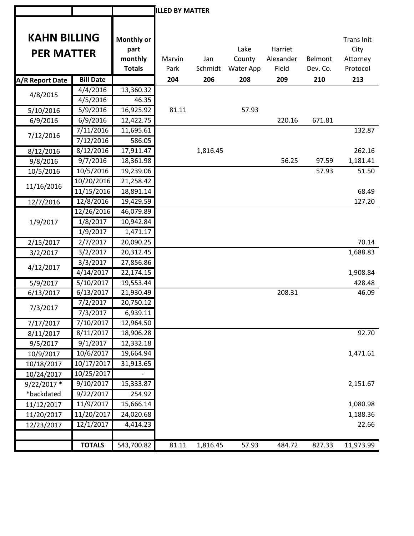|                     |                       |                    | <b>ILLED BY MATTER</b> |          |           |           |          |                           |
|---------------------|-----------------------|--------------------|------------------------|----------|-----------|-----------|----------|---------------------------|
|                     |                       |                    |                        |          |           |           |          |                           |
| <b>KAHN BILLING</b> |                       |                    |                        |          |           |           |          |                           |
|                     |                       | Monthly or<br>part |                        |          | Lake      | Harriet   |          | <b>Trans Init</b><br>City |
| <b>PER MATTER</b>   |                       | monthly            | Marvin                 | Jan      | County    | Alexander | Belmont  | Attorney                  |
|                     |                       | <b>Totals</b>      | Park                   | Schmidt  | Water App | Field     | Dev. Co. | Protocol                  |
| A/R Report Date     | <b>Bill Date</b>      |                    | 204                    | 206      | 208       | 209       | 210      | 213                       |
|                     | 4/4/2016              | 13,360.32          |                        |          |           |           |          |                           |
| 4/8/2015            | 4/5/2016              | 46.35              |                        |          |           |           |          |                           |
| 5/10/2016           | 5/9/2016              | 16,925.92          | 81.11                  |          | 57.93     |           |          |                           |
| 6/9/2016            | 6/9/2016              | 12,422.75          |                        |          |           | 220.16    | 671.81   |                           |
|                     | 7/11/2016             | 11,695.61          |                        |          |           |           |          | 132.87                    |
| 7/12/2016           | 7/12/2016             | 586.05             |                        |          |           |           |          |                           |
| 8/12/2016           | 8/12/2016             | 17,911.47          |                        | 1,816.45 |           |           |          | 262.16                    |
| 9/8/2016            | 9/7/2016              | 18,361.98          |                        |          |           | 56.25     | 97.59    | 1,181.41                  |
| 10/5/2016           | 10/5/2016             | 19,239.06          |                        |          |           |           | 57.93    | 51.50                     |
|                     | 10/20/2016            | 21,258.42          |                        |          |           |           |          |                           |
| 11/16/2016          | 11/15/2016            | 18,891.14          |                        |          |           |           |          | 68.49                     |
| 12/7/2016           | 12/8/2016             | 19,429.59          |                        |          |           |           |          | 127.20                    |
|                     | 12/26/2016            | 46,079.89          |                        |          |           |           |          |                           |
| 1/9/2017            | 1/8/2017              | 10,942.84          |                        |          |           |           |          |                           |
|                     | 1/9/2017              | 1,471.17           |                        |          |           |           |          |                           |
| 2/15/2017           | 2/7/2017              | 20,090.25          |                        |          |           |           |          | 70.14                     |
| 3/2/2017            | 3/2/2017              | 20,312.45          |                        |          |           |           |          | 1,688.83                  |
| 4/12/2017           | 3/3/2017              | 27,856.86          |                        |          |           |           |          |                           |
|                     | 4/14/2017             | 22,174.15          |                        |          |           |           |          | 1,908.84                  |
| 5/9/2017            | $\frac{1}{5/10/2017}$ | 19,553.44          |                        |          |           |           |          | 428.48                    |
| 6/13/2017           | 6/13/2017             | 21,930.49          |                        |          |           | 208.31    |          | 46.09                     |
| 7/3/2017            | 7/2/2017              | 20,750.12          |                        |          |           |           |          |                           |
|                     | 7/3/2017              | 6,939.11           |                        |          |           |           |          |                           |
| 7/17/2017           | 7/10/2017             | 12,964.50          |                        |          |           |           |          |                           |
| 8/11/2017           | 8/11/2017             | 18,906.28          |                        |          |           |           |          | 92.70                     |
| 9/5/2017            | 9/1/2017              | 12,332.18          |                        |          |           |           |          |                           |
| 10/9/2017           | 10/6/2017             | 19,664.94          |                        |          |           |           |          | 1,471.61                  |
| 10/18/2017          | 10/17/2017            | 31,913.65          |                        |          |           |           |          |                           |
| 10/24/2017          | 10/25/2017            |                    |                        |          |           |           |          |                           |
| $9/22/2017$ *       | 9/10/2017             | 15,333.87          |                        |          |           |           |          | 2,151.67                  |
| *backdated          | 9/22/2017             | 254.92             |                        |          |           |           |          |                           |
| 11/12/2017          | 11/9/2017             | 15,666.14          |                        |          |           |           |          | 1,080.98                  |
| 11/20/2017          | 11/20/2017            | 24,020.68          |                        |          |           |           |          | 1,188.36                  |
| 12/23/2017          | 12/1/2017             | 4,414.23           |                        |          |           |           |          | 22.66                     |
|                     |                       |                    |                        |          |           |           |          |                           |
|                     | <b>TOTALS</b>         | 543,700.82         | 81.11                  | 1,816.45 | 57.93     | 484.72    | 827.33   | 11,973.99                 |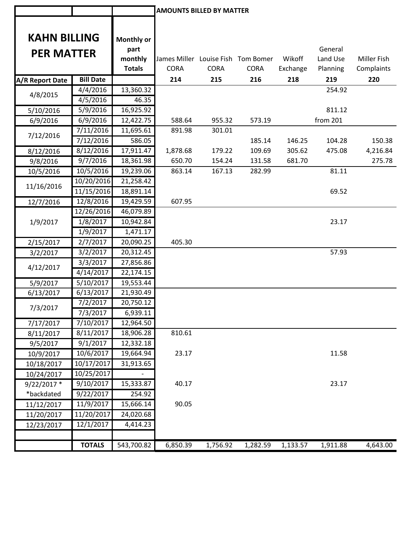|                     |                  |                   | <b>AMOUNTS BILLED BY MATTER</b>                   |             |             |          |          |                    |
|---------------------|------------------|-------------------|---------------------------------------------------|-------------|-------------|----------|----------|--------------------|
|                     |                  |                   |                                                   |             |             |          |          |                    |
| <b>KAHN BILLING</b> |                  |                   |                                                   |             |             |          |          |                    |
|                     |                  | <b>Monthly or</b> |                                                   |             |             |          |          |                    |
| <b>PER MATTER</b>   |                  | part              |                                                   |             |             |          | General  |                    |
|                     |                  | monthly           | James Miller Louise Fish Tom Bomer<br><b>CORA</b> | <b>CORA</b> | <b>CORA</b> | Wikoff   | Land Use | <b>Miller Fish</b> |
|                     |                  | <b>Totals</b>     |                                                   |             |             | Exchange | Planning | Complaints         |
| A/R Report Date     | <b>Bill Date</b> |                   | 214                                               | 215         | 216         | 218      | 219      | 220                |
| 4/8/2015            | 4/4/2016         | 13,360.32         |                                                   |             |             |          | 254.92   |                    |
|                     | 4/5/2016         | 46.35             |                                                   |             |             |          |          |                    |
| 5/10/2016           | 5/9/2016         | 16,925.92         |                                                   |             |             |          | 811.12   |                    |
| 6/9/2016            | 6/9/2016         | 12,422.75         | 588.64                                            | 955.32      | 573.19      |          | from 201 |                    |
| 7/12/2016           | 7/11/2016        | 11,695.61         | 891.98                                            | 301.01      |             |          |          |                    |
|                     | 7/12/2016        | 586.05            |                                                   |             | 185.14      | 146.25   | 104.28   | 150.38             |
| 8/12/2016           | 8/12/2016        | 17,911.47         | 1,878.68                                          | 179.22      | 109.69      | 305.62   | 475.08   | 4,216.84           |
| 9/8/2016            | 9/7/2016         | 18,361.98         | 650.70                                            | 154.24      | 131.58      | 681.70   |          | 275.78             |
| 10/5/2016           | 10/5/2016        | 19,239.06         | 863.14                                            | 167.13      | 282.99      |          | 81.11    |                    |
| 11/16/2016          | 10/20/2016       | 21,258.42         |                                                   |             |             |          |          |                    |
|                     | 11/15/2016       | 18,891.14         |                                                   |             |             |          | 69.52    |                    |
| 12/7/2016           | 12/8/2016        | 19,429.59         | 607.95                                            |             |             |          |          |                    |
|                     | 12/26/2016       | 46,079.89         |                                                   |             |             |          |          |                    |
| 1/9/2017            | 1/8/2017         | 10,942.84         |                                                   |             |             |          | 23.17    |                    |
|                     | 1/9/2017         | 1,471.17          |                                                   |             |             |          |          |                    |
| 2/15/2017           | 2/7/2017         | 20,090.25         | 405.30                                            |             |             |          |          |                    |
| 3/2/2017            | 3/2/2017         | 20,312.45         |                                                   |             |             |          | 57.93    |                    |
| 4/12/2017           | 3/3/2017         | 27,856.86         |                                                   |             |             |          |          |                    |
|                     | 4/14/2017        | 22,174.15         |                                                   |             |             |          |          |                    |
| 5/9/2017            | 5/10/2017        | 19,553.44         |                                                   |             |             |          |          |                    |
| 6/13/2017           | 6/13/2017        | 21,930.49         |                                                   |             |             |          |          |                    |
| 7/3/2017            | 7/2/2017         | 20,750.12         |                                                   |             |             |          |          |                    |
|                     | 7/3/2017         | 6,939.11          |                                                   |             |             |          |          |                    |
| 7/17/2017           | 7/10/2017        | 12,964.50         |                                                   |             |             |          |          |                    |
| 8/11/2017           | 8/11/2017        | 18,906.28         | 810.61                                            |             |             |          |          |                    |
| 9/5/2017            | 9/1/2017         | 12,332.18         |                                                   |             |             |          |          |                    |
| 10/9/2017           | 10/6/2017        | 19,664.94         | 23.17                                             |             |             |          | 11.58    |                    |
| 10/18/2017          | 10/17/2017       | 31,913.65         |                                                   |             |             |          |          |                    |
| 10/24/2017          | 10/25/2017       |                   |                                                   |             |             |          |          |                    |
| $9/22/2017$ *       | 9/10/2017        | 15,333.87         | 40.17                                             |             |             |          | 23.17    |                    |
| *backdated          | 9/22/2017        | 254.92            |                                                   |             |             |          |          |                    |
| 11/12/2017          | 11/9/2017        | 15,666.14         | 90.05                                             |             |             |          |          |                    |
| 11/20/2017          | 11/20/2017       | 24,020.68         |                                                   |             |             |          |          |                    |
| 12/23/2017          | 12/1/2017        | 4,414.23          |                                                   |             |             |          |          |                    |
|                     |                  |                   |                                                   |             |             |          |          |                    |
|                     | <b>TOTALS</b>    | 543,700.82        | 6,850.39                                          | 1,756.92    | 1,282.59    | 1,133.57 | 1,911.88 | 4,643.00           |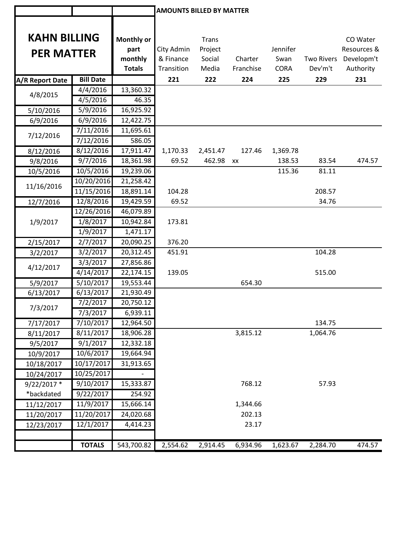|                        |                        |                        | <b>AMOUNTS BILLED BY MATTER</b> |              |           |             |                   |             |
|------------------------|------------------------|------------------------|---------------------------------|--------------|-----------|-------------|-------------------|-------------|
| <b>KAHN BILLING</b>    |                        | Monthly or             |                                 | <b>Trans</b> |           |             |                   | CO Water    |
| <b>PER MATTER</b>      |                        | part                   | City Admin                      | Project      |           | Jennifer    |                   | Resources & |
|                        |                        | monthly                | & Finance                       | Social       | Charter   | Swan        | <b>Two Rivers</b> | Developm't  |
|                        |                        | <b>Totals</b>          | Transition                      | Media        | Franchise | <b>CORA</b> | Dev'm't           | Authority   |
| <b>A/R Report Date</b> | <b>Bill Date</b>       |                        | 221                             | 222          | 224       | 225         | 229               | 231         |
| 4/8/2015               | 4/4/2016               | 13,360.32              |                                 |              |           |             |                   |             |
|                        | 4/5/2016               | 46.35                  |                                 |              |           |             |                   |             |
| 5/10/2016              | 5/9/2016               | 16,925.92              |                                 |              |           |             |                   |             |
| 6/9/2016               | 6/9/2016               | 12,422.75              |                                 |              |           |             |                   |             |
| 7/12/2016              | 7/11/2016              | 11,695.61              |                                 |              |           |             |                   |             |
|                        | 7/12/2016              | 586.05                 |                                 |              |           |             |                   |             |
| 8/12/2016              | 8/12/2016              | 17,911.47              | 1,170.33                        | 2,451.47     | 127.46    | 1,369.78    |                   |             |
| 9/8/2016               | 9/7/2016               | 18,361.98              | 69.52                           | 462.98 xx    |           | 138.53      | 83.54             | 474.57      |
| 10/5/2016              | 10/5/2016              | 19,239.06              |                                 |              |           | 115.36      | 81.11             |             |
| 11/16/2016             | 10/20/2016             | 21,258.42              |                                 |              |           |             |                   |             |
|                        | 11/15/2016             | 18,891.14              | 104.28                          |              |           |             | 208.57            |             |
| 12/7/2016              | 12/8/2016              | 19,429.59<br>46,079.89 | 69.52                           |              |           |             | 34.76             |             |
|                        | 12/26/2016<br>1/8/2017 | 10,942.84              | 173.81                          |              |           |             |                   |             |
| 1/9/2017               | 1/9/2017               | 1,471.17               |                                 |              |           |             |                   |             |
|                        | 2/7/2017               | 20,090.25              | 376.20                          |              |           |             |                   |             |
| 2/15/2017              | 3/2/2017               | 20,312.45              | 451.91                          |              |           |             | 104.28            |             |
| 3/2/2017               | 3/3/2017               | 27,856.86              |                                 |              |           |             |                   |             |
| 4/12/2017              | 4/14/2017              | 22,174.15              | 139.05                          |              |           |             | 515.00            |             |
| 5/9/2017               | 5/10/2017              | 19,553.44              |                                 |              | 654.30    |             |                   |             |
| 6/13/2017              | 6/13/2017              | 21,930.49              |                                 |              |           |             |                   |             |
|                        | $\frac{1}{7}/2$ /2017  | 20,750.12              |                                 |              |           |             |                   |             |
| 7/3/2017               | 7/3/2017               | 6,939.11               |                                 |              |           |             |                   |             |
| 7/17/2017              | 7/10/2017              | 12,964.50              |                                 |              |           |             | 134.75            |             |
| 8/11/2017              | 8/11/2017              | 18,906.28              |                                 |              | 3,815.12  |             | 1,064.76          |             |
| 9/5/2017               | 9/1/2017               | 12,332.18              |                                 |              |           |             |                   |             |
| 10/9/2017              | 10/6/2017              | 19,664.94              |                                 |              |           |             |                   |             |
| 10/18/2017             | 10/17/2017             | 31,913.65              |                                 |              |           |             |                   |             |
| 10/24/2017             | 10/25/2017             |                        |                                 |              |           |             |                   |             |
| $9/22/2017$ *          | 9/10/2017              | 15,333.87              |                                 |              | 768.12    |             | 57.93             |             |
| *backdated             | 9/22/2017              | 254.92                 |                                 |              |           |             |                   |             |
| 11/12/2017             | 11/9/2017              | 15,666.14              |                                 |              | 1,344.66  |             |                   |             |
| 11/20/2017             | 11/20/2017             | 24,020.68              |                                 |              | 202.13    |             |                   |             |
| 12/23/2017             | 12/1/2017              | 4,414.23               |                                 |              | 23.17     |             |                   |             |
|                        |                        |                        |                                 |              |           |             |                   |             |
|                        | <b>TOTALS</b>          | 543,700.82             | 2,554.62                        | 2,914.45     | 6,934.96  | 1,623.67    | 2,284.70          | 474.57      |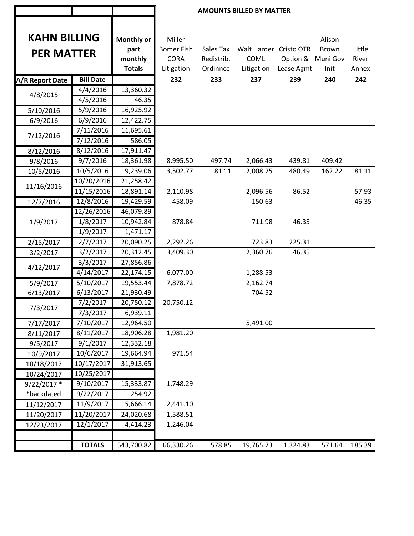|                        |                  |               | <b>AMOUNTS BILLED BY MATTER</b> |            |                        |            |                   |        |  |
|------------------------|------------------|---------------|---------------------------------|------------|------------------------|------------|-------------------|--------|--|
| <b>KAHN BILLING</b>    |                  | Monthly or    | Miller                          |            |                        |            | Alison            |        |  |
| <b>PER MATTER</b>      |                  | part          | <b>Bomer Fish</b>               | Sales Tax  | Walt Harder Cristo OTR |            | <b>Brown</b>      | Little |  |
|                        |                  | monthly       | <b>CORA</b>                     | Redistrib. | COML                   |            | Option & Muni Gov | River  |  |
|                        |                  | <b>Totals</b> | Litigation                      | Ordinnce   | Litigation             | Lease Agmt | Init              | Annex  |  |
| <b>A/R Report Date</b> | <b>Bill Date</b> |               | 232                             | 233        | 237                    | 239        | 240               | 242    |  |
|                        | 4/4/2016         | 13,360.32     |                                 |            |                        |            |                   |        |  |
| 4/8/2015               | 4/5/2016         | 46.35         |                                 |            |                        |            |                   |        |  |
| 5/10/2016              | 5/9/2016         | 16,925.92     |                                 |            |                        |            |                   |        |  |
| 6/9/2016               | 6/9/2016         | 12,422.75     |                                 |            |                        |            |                   |        |  |
| 7/12/2016              | 7/11/2016        | 11,695.61     |                                 |            |                        |            |                   |        |  |
|                        | 7/12/2016        | 586.05        |                                 |            |                        |            |                   |        |  |
| 8/12/2016              | 8/12/2016        | 17,911.47     |                                 |            |                        |            |                   |        |  |
| 9/8/2016               | 9/7/2016         | 18,361.98     | 8,995.50                        | 497.74     | 2,066.43               | 439.81     | 409.42            |        |  |
| 10/5/2016              | 10/5/2016        | 19,239.06     | 3,502.77                        | 81.11      | 2,008.75               | 480.49     | 162.22            | 81.11  |  |
| 11/16/2016             | 10/20/2016       | 21,258.42     |                                 |            |                        |            |                   |        |  |
|                        | 11/15/2016       | 18,891.14     | 2,110.98                        |            | 2,096.56               | 86.52      |                   | 57.93  |  |
| 12/7/2016              | 12/8/2016        | 19,429.59     | 458.09                          |            | 150.63                 |            |                   | 46.35  |  |
|                        | 12/26/2016       | 46,079.89     |                                 |            |                        |            |                   |        |  |
| 1/9/2017               | 1/8/2017         | 10,942.84     | 878.84                          |            | 711.98                 | 46.35      |                   |        |  |
|                        | 1/9/2017         | 1,471.17      |                                 |            |                        |            |                   |        |  |
| 2/15/2017              | 2/7/2017         | 20,090.25     | 2,292.26                        |            | 723.83                 | 225.31     |                   |        |  |
| 3/2/2017               | 3/2/2017         | 20,312.45     | 3,409.30                        |            | 2,360.76               | 46.35      |                   |        |  |
| 4/12/2017              | 3/3/2017         | 27,856.86     |                                 |            |                        |            |                   |        |  |
|                        | 4/14/2017        | 22,174.15     | 6,077.00                        |            | 1,288.53               |            |                   |        |  |
| 5/9/2017               | 5/10/2017        | 19,553.44     | 7,878.72                        |            | 2,162.74               |            |                   |        |  |
| 6/13/2017              | 6/13/2017        | 21,930.49     |                                 |            | 704.52                 |            |                   |        |  |
| 7/3/2017               | 7/2/2017         | 20,750.12     | 20,750.12                       |            |                        |            |                   |        |  |
|                        | 7/3/2017         | 6,939.11      |                                 |            |                        |            |                   |        |  |
| 7/17/2017              | 7/10/2017        | 12,964.50     |                                 |            | 5,491.00               |            |                   |        |  |
| 8/11/2017              | 8/11/2017        | 18,906.28     | 1,981.20                        |            |                        |            |                   |        |  |
| 9/5/2017               | 9/1/2017         | 12,332.18     |                                 |            |                        |            |                   |        |  |
| 10/9/2017              | 10/6/2017        | 19,664.94     | 971.54                          |            |                        |            |                   |        |  |
| 10/18/2017             | 10/17/2017       | 31,913.65     |                                 |            |                        |            |                   |        |  |
| 10/24/2017             | 10/25/2017       |               |                                 |            |                        |            |                   |        |  |
| $9/22/2017$ *          | 9/10/2017        | 15,333.87     | 1,748.29                        |            |                        |            |                   |        |  |
| *backdated             | 9/22/2017        | 254.92        |                                 |            |                        |            |                   |        |  |
| 11/12/2017             | 11/9/2017        | 15,666.14     | 2,441.10                        |            |                        |            |                   |        |  |
| 11/20/2017             | 11/20/2017       | 24,020.68     | 1,588.51                        |            |                        |            |                   |        |  |
| 12/23/2017             | 12/1/2017        | 4,414.23      | 1,246.04                        |            |                        |            |                   |        |  |
|                        |                  |               |                                 |            |                        |            |                   |        |  |
|                        | <b>TOTALS</b>    | 543,700.82    | 66,330.26                       | 578.85     | 19,765.73              | 1,324.83   | 571.64            | 185.39 |  |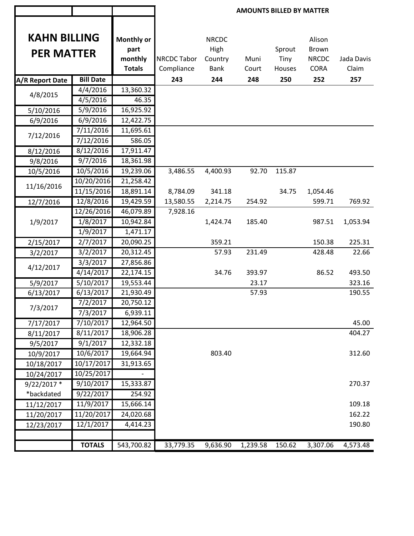|                     |                  |                    | <b>AMOUNTS BILLED BY MATTER</b> |                      |          |        |                 |            |  |
|---------------------|------------------|--------------------|---------------------------------|----------------------|----------|--------|-----------------|------------|--|
| <b>KAHN BILLING</b> |                  | Monthly or<br>part |                                 | <b>NRCDC</b><br>High |          | Sprout | Alison<br>Brown |            |  |
| <b>PER MATTER</b>   |                  | monthly            | <b>NRCDC Tabor</b>              | Country              | Muni     | Tiny   | <b>NRCDC</b>    | Jada Davis |  |
|                     |                  | <b>Totals</b>      | Compliance                      | <b>Bank</b>          | Court    | Houses | <b>CORA</b>     | Claim      |  |
| A/R Report Date     | <b>Bill Date</b> |                    | 243                             | 244                  | 248      | 250    | 252             | 257        |  |
|                     | 4/4/2016         | 13,360.32          |                                 |                      |          |        |                 |            |  |
| 4/8/2015            | 4/5/2016         | 46.35              |                                 |                      |          |        |                 |            |  |
| 5/10/2016           | 5/9/2016         | 16,925.92          |                                 |                      |          |        |                 |            |  |
| 6/9/2016            | 6/9/2016         | 12,422.75          |                                 |                      |          |        |                 |            |  |
|                     | 7/11/2016        | 11,695.61          |                                 |                      |          |        |                 |            |  |
| 7/12/2016           | 7/12/2016        | 586.05             |                                 |                      |          |        |                 |            |  |
| 8/12/2016           | 8/12/2016        | 17,911.47          |                                 |                      |          |        |                 |            |  |
| 9/8/2016            | 9/7/2016         | 18,361.98          |                                 |                      |          |        |                 |            |  |
| 10/5/2016           | 10/5/2016        | 19,239.06          | 3,486.55                        | 4,400.93             | 92.70    | 115.87 |                 |            |  |
|                     | 10/20/2016       | 21,258.42          |                                 |                      |          |        |                 |            |  |
| 11/16/2016          | 11/15/2016       | 18,891.14          | 8,784.09                        | 341.18               |          | 34.75  | 1,054.46        |            |  |
| 12/7/2016           | 12/8/2016        | 19,429.59          | 13,580.55                       | 2,214.75             | 254.92   |        | 599.71          | 769.92     |  |
|                     | 12/26/2016       | 46,079.89          | 7,928.16                        |                      |          |        |                 |            |  |
| 1/9/2017            | 1/8/2017         | 10,942.84          |                                 | 1,424.74             | 185.40   |        | 987.51          | 1,053.94   |  |
|                     | 1/9/2017         | 1,471.17           |                                 |                      |          |        |                 |            |  |
| 2/15/2017           | 2/7/2017         | 20,090.25          |                                 | 359.21               |          |        | 150.38          | 225.31     |  |
| 3/2/2017            | 3/2/2017         | 20,312.45          |                                 | 57.93                | 231.49   |        | 428.48          | 22.66      |  |
|                     | 3/3/2017         | 27,856.86          |                                 |                      |          |        |                 |            |  |
| 4/12/2017           | 4/14/2017        | 22,174.15          |                                 | 34.76                | 393.97   |        | 86.52           | 493.50     |  |
| 5/9/2017            | 5/10/2017        | 19,553.44          |                                 |                      | 23.17    |        |                 | 323.16     |  |
| 6/13/2017           | 6/13/2017        | 21,930.49          |                                 |                      | 57.93    |        |                 | 190.55     |  |
| 7/3/2017            | 7/2/2017         | 20,750.12          |                                 |                      |          |        |                 |            |  |
|                     | 7/3/2017         | 6,939.11           |                                 |                      |          |        |                 |            |  |
| 7/17/2017           | 7/10/2017        | 12,964.50          |                                 |                      |          |        |                 | 45.00      |  |
| 8/11/2017           | 8/11/2017        | 18,906.28          |                                 |                      |          |        |                 | 404.27     |  |
| 9/5/2017            | 9/1/2017         | 12,332.18          |                                 |                      |          |        |                 |            |  |
| 10/9/2017           | 10/6/2017        | 19,664.94          |                                 | 803.40               |          |        |                 | 312.60     |  |
| 10/18/2017          | 10/17/2017       | 31,913.65          |                                 |                      |          |        |                 |            |  |
| 10/24/2017          | 10/25/2017       |                    |                                 |                      |          |        |                 |            |  |
| $9/22/2017$ *       | 9/10/2017        | 15,333.87          |                                 |                      |          |        |                 | 270.37     |  |
| *backdated          | 9/22/2017        | 254.92             |                                 |                      |          |        |                 |            |  |
| 11/12/2017          | 11/9/2017        | 15,666.14          |                                 |                      |          |        |                 | 109.18     |  |
| 11/20/2017          | 11/20/2017       | 24,020.68          |                                 |                      |          |        |                 | 162.22     |  |
| 12/23/2017          | 12/1/2017        | 4,414.23           |                                 |                      |          |        |                 | 190.80     |  |
|                     |                  |                    |                                 |                      |          |        |                 |            |  |
|                     | <b>TOTALS</b>    | 543,700.82         | 33,779.35                       | 9,636.90             | 1,239.58 | 150.62 | 3,307.06        | 4,573.48   |  |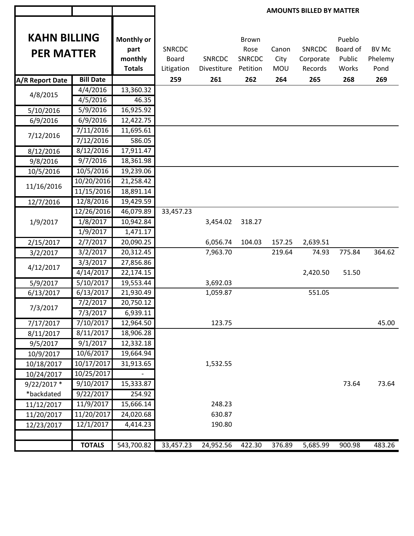|                                                                    |                        |                                                | <b>AMOUNTS BILLED BY MATTER</b>                    |                                     |                                                   |                                    |                                              |                                              |                                        |
|--------------------------------------------------------------------|------------------------|------------------------------------------------|----------------------------------------------------|-------------------------------------|---------------------------------------------------|------------------------------------|----------------------------------------------|----------------------------------------------|----------------------------------------|
| <b>KAHN BILLING</b><br><b>PER MATTER</b><br><b>A/R Report Date</b> | <b>Bill Date</b>       | Monthly or<br>part<br>monthly<br><b>Totals</b> | <b>SNRCDC</b><br><b>Board</b><br>Litigation<br>259 | <b>SNRCDC</b><br>Divestiture<br>261 | <b>Brown</b><br>Rose<br>SNRCDC<br>Petition<br>262 | Canon<br>City<br><b>MOU</b><br>264 | <b>SNRCDC</b><br>Corporate<br>Records<br>265 | Pueblo<br>Board of<br>Public<br>Works<br>268 | <b>BV Mc</b><br>Phelemy<br>Pond<br>269 |
|                                                                    | 4/4/2016               | 13,360.32                                      |                                                    |                                     |                                                   |                                    |                                              |                                              |                                        |
| 4/8/2015                                                           | 4/5/2016               | 46.35                                          |                                                    |                                     |                                                   |                                    |                                              |                                              |                                        |
| 5/10/2016                                                          | 5/9/2016               | 16,925.92                                      |                                                    |                                     |                                                   |                                    |                                              |                                              |                                        |
| 6/9/2016                                                           | 6/9/2016               | 12,422.75                                      |                                                    |                                     |                                                   |                                    |                                              |                                              |                                        |
|                                                                    | 7/11/2016              | 11,695.61                                      |                                                    |                                     |                                                   |                                    |                                              |                                              |                                        |
| 7/12/2016                                                          | 7/12/2016              | 586.05                                         |                                                    |                                     |                                                   |                                    |                                              |                                              |                                        |
| 8/12/2016                                                          | 8/12/2016              | 17,911.47                                      |                                                    |                                     |                                                   |                                    |                                              |                                              |                                        |
| 9/8/2016                                                           | 9/7/2016               | 18,361.98                                      |                                                    |                                     |                                                   |                                    |                                              |                                              |                                        |
| 10/5/2016                                                          | 10/5/2016              | 19,239.06                                      |                                                    |                                     |                                                   |                                    |                                              |                                              |                                        |
|                                                                    | 10/20/2016             | 21,258.42                                      |                                                    |                                     |                                                   |                                    |                                              |                                              |                                        |
| 11/16/2016                                                         | 11/15/2016             | 18,891.14                                      |                                                    |                                     |                                                   |                                    |                                              |                                              |                                        |
| 12/7/2016                                                          | 12/8/2016              | 19,429.59                                      |                                                    |                                     |                                                   |                                    |                                              |                                              |                                        |
|                                                                    | 12/26/2016             | 46,079.89                                      | 33,457.23                                          |                                     |                                                   |                                    |                                              |                                              |                                        |
| 1/9/2017                                                           | 1/8/2017               | 10,942.84                                      |                                                    | 3,454.02                            | 318.27                                            |                                    |                                              |                                              |                                        |
|                                                                    | 1/9/2017               | 1,471.17                                       |                                                    |                                     |                                                   |                                    |                                              |                                              |                                        |
| 2/15/2017                                                          | 2/7/2017               | 20,090.25                                      |                                                    | 6,056.74                            | 104.03                                            | 157.25                             | 2,639.51                                     |                                              |                                        |
| 3/2/2017                                                           | 3/2/2017               | 20,312.45                                      |                                                    | 7,963.70                            |                                                   | 219.64                             | 74.93                                        | 775.84                                       | 364.62                                 |
|                                                                    | 3/3/2017               | 27,856.86                                      |                                                    |                                     |                                                   |                                    |                                              |                                              |                                        |
| 4/12/2017                                                          | 4/14/2017              | 22,174.15                                      |                                                    |                                     |                                                   |                                    | 2,420.50                                     | 51.50                                        |                                        |
| 5/9/2017                                                           | 5/10/2017              | 19,553.44                                      |                                                    | 3,692.03                            |                                                   |                                    |                                              |                                              |                                        |
| 6/13/2017                                                          | 6/13/2017              | 21,930.49                                      |                                                    | 1,059.87                            |                                                   |                                    | 551.05                                       |                                              |                                        |
|                                                                    | 7/2/2017               | 20,750.12                                      |                                                    |                                     |                                                   |                                    |                                              |                                              |                                        |
| 7/3/2017                                                           | 7/3/2017               | 6,939.11                                       |                                                    |                                     |                                                   |                                    |                                              |                                              |                                        |
| 7/17/2017                                                          | 7/10/2017              | 12,964.50                                      |                                                    | 123.75                              |                                                   |                                    |                                              |                                              | 45.00                                  |
| 8/11/2017                                                          | 8/11/2017              | 18,906.28                                      |                                                    |                                     |                                                   |                                    |                                              |                                              |                                        |
| 9/5/2017                                                           | 9/1/2017               | 12,332.18                                      |                                                    |                                     |                                                   |                                    |                                              |                                              |                                        |
| 10/9/2017                                                          | 10/6/2017              | 19,664.94                                      |                                                    |                                     |                                                   |                                    |                                              |                                              |                                        |
| 10/18/2017                                                         | 10/17/2017             | 31,913.65                                      |                                                    | 1,532.55                            |                                                   |                                    |                                              |                                              |                                        |
| 10/24/2017                                                         | 10/25/2017             |                                                |                                                    |                                     |                                                   |                                    |                                              |                                              |                                        |
| 9/22/2017 *                                                        | 9/10/2017              | 15,333.87                                      |                                                    |                                     |                                                   |                                    |                                              | 73.64                                        | 73.64                                  |
| *backdated                                                         | 9/22/2017              | 254.92                                         |                                                    |                                     |                                                   |                                    |                                              |                                              |                                        |
| 11/12/2017                                                         | $\overline{11/9/2017}$ | 15,666.14                                      |                                                    | 248.23                              |                                                   |                                    |                                              |                                              |                                        |
| 11/20/2017                                                         | 11/20/2017             | 24,020.68                                      |                                                    | 630.87                              |                                                   |                                    |                                              |                                              |                                        |
| 12/23/2017                                                         | 12/1/2017              | 4,414.23                                       |                                                    | 190.80                              |                                                   |                                    |                                              |                                              |                                        |
|                                                                    |                        |                                                |                                                    |                                     |                                                   |                                    |                                              |                                              |                                        |
|                                                                    | <b>TOTALS</b>          | 543,700.82                                     | 33,457.23                                          | 24,952.56                           | 422.30                                            | 376.89                             | 5,685.99                                     | 900.98                                       | 483.26                                 |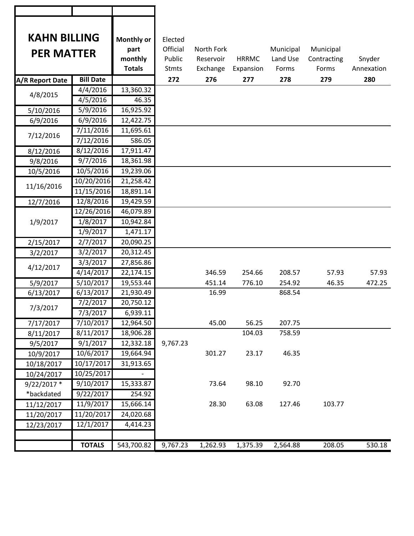| <b>KAHN BILLING</b><br><b>PER MATTER</b> |                   | <b>Monthly or</b><br>part | Elected<br>Official | North Fork |              | Municipal | Municipal   |            |
|------------------------------------------|-------------------|---------------------------|---------------------|------------|--------------|-----------|-------------|------------|
|                                          |                   | monthly                   | Public              | Reservoir  | <b>HRRMC</b> | Land Use  | Contracting | Snyder     |
|                                          |                   | <b>Totals</b>             | <b>Stmts</b>        | Exchange   | Expansion    | Forms     | Forms       | Annexation |
| <b>A/R Report Date</b>                   | <b>Bill Date</b>  |                           | 272                 | 276        | 277          | 278       | 279         | 280        |
| 4/8/2015                                 | 4/4/2016          | 13,360.32                 |                     |            |              |           |             |            |
|                                          | 4/5/2016          | 46.35                     |                     |            |              |           |             |            |
| 5/10/2016                                | 5/9/2016          | 16,925.92                 |                     |            |              |           |             |            |
| 6/9/2016                                 | $\sqrt{6/9}/2016$ | 12,422.75                 |                     |            |              |           |             |            |
| 7/12/2016                                | 7/11/2016         | 11,695.61                 |                     |            |              |           |             |            |
|                                          | 7/12/2016         | 586.05                    |                     |            |              |           |             |            |
| 8/12/2016                                | 8/12/2016         | 17,911.47                 |                     |            |              |           |             |            |
| 9/8/2016                                 | 9/7/2016          | 18,361.98                 |                     |            |              |           |             |            |
| 10/5/2016                                | 10/5/2016         | 19,239.06                 |                     |            |              |           |             |            |
| 11/16/2016                               | 10/20/2016        | 21,258.42                 |                     |            |              |           |             |            |
|                                          | 11/15/2016        | 18,891.14                 |                     |            |              |           |             |            |
| 12/7/2016                                | 12/8/2016         | 19,429.59                 |                     |            |              |           |             |            |
|                                          | 12/26/2016        | 46,079.89                 |                     |            |              |           |             |            |
| 1/9/2017                                 | 1/8/2017          | 10,942.84                 |                     |            |              |           |             |            |
|                                          | 1/9/2017          | 1,471.17                  |                     |            |              |           |             |            |
| 2/15/2017                                | 2/7/2017          | 20,090.25                 |                     |            |              |           |             |            |
| 3/2/2017                                 | 3/2/2017          | 20,312.45                 |                     |            |              |           |             |            |
|                                          | 3/3/2017          | 27,856.86                 |                     |            |              |           |             |            |
| 4/12/2017                                | 4/14/2017         | 22,174.15                 |                     | 346.59     | 254.66       | 208.57    | 57.93       | 57.93      |
| 5/9/2017                                 | 5/10/2017         | 19,553.44                 |                     | 451.14     | 776.10       | 254.92    | 46.35       | 472.25     |
| 6/13/2017                                | 6/13/2017         | 21,930.49                 |                     | 16.99      |              | 868.54    |             |            |
|                                          | 7/2/2017          | 20,750.12                 |                     |            |              |           |             |            |
| 7/3/2017                                 | 7/3/2017          | 6,939.11                  |                     |            |              |           |             |            |
| 7/17/2017                                | 7/10/2017         | 12,964.50                 |                     | 45.00      | 56.25        | 207.75    |             |            |
| 8/11/2017                                | 8/11/2017         | 18,906.28                 |                     |            | 104.03       | 758.59    |             |            |
| 9/5/2017                                 | 9/1/2017          | 12,332.18                 | 9,767.23            |            |              |           |             |            |
| 10/9/2017                                | 10/6/2017         | 19,664.94                 |                     | 301.27     | 23.17        | 46.35     |             |            |
| 10/18/2017                               | 10/17/2017        | 31,913.65                 |                     |            |              |           |             |            |
| 10/24/2017                               | 10/25/2017        |                           |                     |            |              |           |             |            |
| 9/22/2017 *                              | 9/10/2017         | 15,333.87                 |                     | 73.64      | 98.10        | 92.70     |             |            |
| *backdated                               | 9/22/2017         | 254.92                    |                     |            |              |           |             |            |
| 11/12/2017                               | 11/9/2017         | 15,666.14                 |                     | 28.30      | 63.08        | 127.46    | 103.77      |            |
| 11/20/2017                               | 11/20/2017        | 24,020.68                 |                     |            |              |           |             |            |
| 12/23/2017                               | 12/1/2017         | 4,414.23                  |                     |            |              |           |             |            |
|                                          |                   |                           |                     |            |              |           |             |            |
|                                          | <b>TOTALS</b>     | 543,700.82                | 9,767.23            | 1,262.93   | 1,375.39     | 2,564.88  | 208.05      | 530.18     |
|                                          |                   |                           |                     |            |              |           |             |            |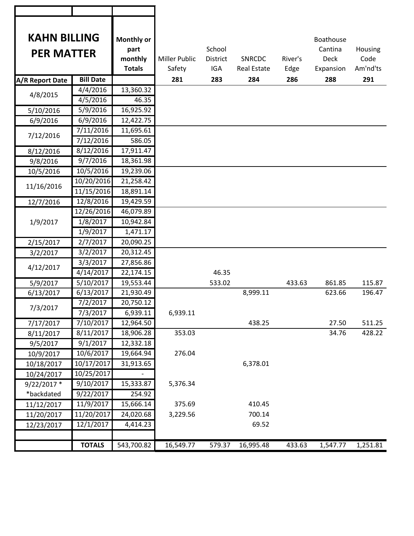| <b>KAHN BILLING</b><br><b>PER MATTER</b> |                              | Monthly or<br>part<br>monthly<br><b>Totals</b> | <b>Miller Public</b><br>Safety | School<br><b>District</b><br><b>IGA</b> | <b>SNRCDC</b><br><b>Real Estate</b> | River's<br>Edge | <b>Boathouse</b><br>Cantina<br><b>Deck</b><br>Expansion | Housing<br>Code<br>Am'nd'ts |
|------------------------------------------|------------------------------|------------------------------------------------|--------------------------------|-----------------------------------------|-------------------------------------|-----------------|---------------------------------------------------------|-----------------------------|
| A/R Report Date                          | <b>Bill Date</b>             |                                                | 281                            | 283                                     | 284                                 | 286             | 288                                                     | 291                         |
| 4/8/2015                                 | 4/4/2016                     | 13,360.32                                      |                                |                                         |                                     |                 |                                                         |                             |
|                                          | 4/5/2016                     | 46.35                                          |                                |                                         |                                     |                 |                                                         |                             |
| 5/10/2016                                | 5/9/2016                     | 16,925.92                                      |                                |                                         |                                     |                 |                                                         |                             |
| 6/9/2016                                 | 6/9/2016                     | 12,422.75                                      |                                |                                         |                                     |                 |                                                         |                             |
| 7/12/2016                                | 7/11/2016                    | 11,695.61                                      |                                |                                         |                                     |                 |                                                         |                             |
|                                          | 7/12/2016                    | 586.05                                         |                                |                                         |                                     |                 |                                                         |                             |
| 8/12/2016                                | 8/12/2016                    | 17,911.47                                      |                                |                                         |                                     |                 |                                                         |                             |
| 9/8/2016                                 | 9/7/2016                     | 18,361.98                                      |                                |                                         |                                     |                 |                                                         |                             |
| 10/5/2016                                | 10/5/2016                    | 19,239.06                                      |                                |                                         |                                     |                 |                                                         |                             |
|                                          | 10/20/2016                   | 21,258.42                                      |                                |                                         |                                     |                 |                                                         |                             |
| 11/16/2016                               | 11/15/2016                   | 18,891.14                                      |                                |                                         |                                     |                 |                                                         |                             |
| 12/7/2016                                | 12/8/2016                    | 19,429.59                                      |                                |                                         |                                     |                 |                                                         |                             |
|                                          | 12/26/2016                   | 46,079.89                                      |                                |                                         |                                     |                 |                                                         |                             |
| 1/9/2017                                 | 1/8/2017                     | 10,942.84                                      |                                |                                         |                                     |                 |                                                         |                             |
|                                          | 1/9/2017                     | 1,471.17                                       |                                |                                         |                                     |                 |                                                         |                             |
| 2/15/2017                                | 2/7/2017                     | 20,090.25                                      |                                |                                         |                                     |                 |                                                         |                             |
| 3/2/2017                                 | 3/2/2017                     | 20,312.45                                      |                                |                                         |                                     |                 |                                                         |                             |
|                                          | 3/3/2017                     | 27,856.86                                      |                                |                                         |                                     |                 |                                                         |                             |
| 4/12/2017                                | 4/14/2017                    | 22,174.15                                      |                                | 46.35                                   |                                     |                 |                                                         |                             |
| 5/9/2017                                 | 5/10/2017                    | 19,553.44                                      |                                | 533.02                                  |                                     | 433.63          | 861.85                                                  | 115.87                      |
| 6/13/2017                                | 6/13/2017                    | 21,930.49                                      |                                |                                         | 8,999.11                            |                 | 623.66                                                  | 196.47                      |
|                                          | 7/2/2017                     | 20,750.12                                      |                                |                                         |                                     |                 |                                                         |                             |
| 7/3/2017                                 | 7/3/2017                     | 6,939.11                                       | 6,939.11                       |                                         |                                     |                 |                                                         |                             |
| 7/17/2017                                | 7/10/2017                    | 12,964.50                                      |                                |                                         | 438.25                              |                 | 27.50                                                   | 511.25                      |
| 8/11/2017                                | 8/11/2017                    | 18,906.28                                      | 353.03                         |                                         |                                     |                 | 34.76                                                   | 428.22                      |
| 9/5/2017                                 | 9/1/2017                     | 12,332.18                                      |                                |                                         |                                     |                 |                                                         |                             |
| 10/9/2017                                | 10/6/2017                    | 19,664.94                                      | 276.04                         |                                         |                                     |                 |                                                         |                             |
| 10/18/2017                               | 10/17/2017                   | 31,913.65                                      |                                |                                         | 6,378.01                            |                 |                                                         |                             |
| 10/24/2017                               | 10/25/2017                   |                                                |                                |                                         |                                     |                 |                                                         |                             |
| 9/22/2017 *                              | 9/10/2017                    | 15,333.87                                      | 5,376.34                       |                                         |                                     |                 |                                                         |                             |
| *backdated                               | 9/22/2017                    | 254.92                                         |                                |                                         |                                     |                 |                                                         |                             |
| 11/12/2017                               | 11/9/2017                    | 15,666.14                                      | 375.69                         |                                         | 410.45                              |                 |                                                         |                             |
| 11/20/2017                               | 11/20/2017                   | 24,020.68                                      | 3,229.56                       |                                         | 700.14                              |                 |                                                         |                             |
| 12/23/2017                               | $\frac{1}{2}/\frac{1}{2017}$ | 4,414.23                                       |                                |                                         | 69.52                               |                 |                                                         |                             |
|                                          |                              |                                                |                                |                                         |                                     |                 |                                                         |                             |
|                                          | <b>TOTALS</b>                | 543,700.82                                     | 16,549.77                      | 579.37                                  | 16,995.48                           | 433.63          | 1,547.77                                                | 1,251.81                    |

٦

т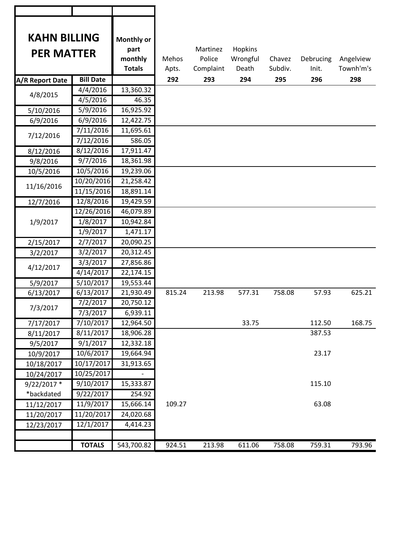| <b>KAHN BILLING</b> |                   | Monthly or               |        |           |          |         |           |           |
|---------------------|-------------------|--------------------------|--------|-----------|----------|---------|-----------|-----------|
|                     |                   | part                     |        | Martinez  | Hopkins  |         |           |           |
|                     | <b>PER MATTER</b> |                          | Mehos  | Police    | Wrongful | Chavez  | Debrucing | Angelview |
|                     |                   | monthly<br><b>Totals</b> | Apts.  | Complaint | Death    | Subdiv. | Init.     | Townh'm's |
| A/R Report Date     | <b>Bill Date</b>  |                          | 292    | 293       | 294      | 295     | 296       | 298       |
|                     | 4/4/2016          | 13,360.32                |        |           |          |         |           |           |
| 4/8/2015            | 4/5/2016          | 46.35                    |        |           |          |         |           |           |
| 5/10/2016           | 5/9/2016          | 16,925.92                |        |           |          |         |           |           |
| 6/9/2016            | 6/9/2016          | 12,422.75                |        |           |          |         |           |           |
|                     | 7/11/2016         | 11,695.61                |        |           |          |         |           |           |
| 7/12/2016           | 7/12/2016         | 586.05                   |        |           |          |         |           |           |
| 8/12/2016           | 8/12/2016         | 17,911.47                |        |           |          |         |           |           |
| 9/8/2016            | 9/7/2016          | 18,361.98                |        |           |          |         |           |           |
| 10/5/2016           | 10/5/2016         | 19,239.06                |        |           |          |         |           |           |
|                     | 10/20/2016        | 21,258.42                |        |           |          |         |           |           |
| 11/16/2016          | 11/15/2016        | 18,891.14                |        |           |          |         |           |           |
| 12/7/2016           | 12/8/2016         | 19,429.59                |        |           |          |         |           |           |
|                     | 12/26/2016        | 46,079.89                |        |           |          |         |           |           |
| 1/9/2017            | 1/8/2017          | 10,942.84                |        |           |          |         |           |           |
|                     | 1/9/2017          | 1,471.17                 |        |           |          |         |           |           |
| 2/15/2017           | 2/7/2017          | 20,090.25                |        |           |          |         |           |           |
| 3/2/2017            | 3/2/2017          | 20,312.45                |        |           |          |         |           |           |
| 4/12/2017           | 3/3/2017          | 27,856.86                |        |           |          |         |           |           |
|                     | 4/14/2017         | 22,174.15                |        |           |          |         |           |           |
| 5/9/2017            | 5/10/2017         | 19,553.44                |        |           |          |         |           |           |
| 6/13/2017           | 6/13/2017         | 21,930.49                | 815.24 | 213.98    | 577.31   | 758.08  | 57.93     | 625.21    |
| 7/3/2017            | 7/2/2017          | 20,750.12                |        |           |          |         |           |           |
|                     | 7/3/2017          | 6,939.11                 |        |           |          |         |           |           |
| 7/17/2017           | 7/10/2017         | 12,964.50                |        |           | 33.75    |         | 112.50    | 168.75    |
| 8/11/2017           | 8/11/2017         | 18,906.28                |        |           |          |         | 387.53    |           |
| 9/5/2017            | 9/1/2017          | 12,332.18                |        |           |          |         |           |           |
| 10/9/2017           | 10/6/2017         | 19,664.94                |        |           |          |         | 23.17     |           |
| 10/18/2017          | 10/17/2017        | 31,913.65                |        |           |          |         |           |           |
| 10/24/2017          | 10/25/2017        |                          |        |           |          |         |           |           |
| 9/22/2017 *         | 9/10/2017         | 15,333.87                |        |           |          |         | 115.10    |           |
| *backdated          | 9/22/2017         | 254.92                   |        |           |          |         |           |           |
| 11/12/2017          | 11/9/2017         | 15,666.14                | 109.27 |           |          |         | 63.08     |           |
| 11/20/2017          | 11/20/2017        | 24,020.68                |        |           |          |         |           |           |
| 12/23/2017          | 12/1/2017         | 4,414.23                 |        |           |          |         |           |           |
|                     |                   |                          |        |           |          |         |           |           |
|                     | <b>TOTALS</b>     | 543,700.82               | 924.51 | 213.98    | 611.06   | 758.08  | 759.31    | 793.96    |

┑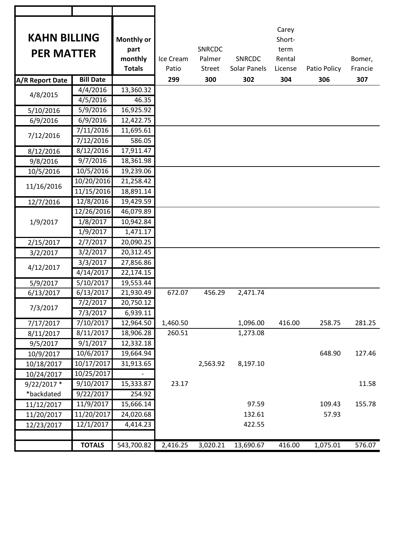| <b>KAHN BILLING</b><br><b>PER MATTER</b> |                      | Monthly or<br>part<br>monthly<br><b>Totals</b> | Ice Cream<br>Patio | <b>SNRCDC</b><br>Palmer<br>Street | SNRCDC<br>Solar Panels | Carey<br>Short-<br>term<br>Rental<br>License | Patio Policy | Bomer,<br>Francie |
|------------------------------------------|----------------------|------------------------------------------------|--------------------|-----------------------------------|------------------------|----------------------------------------------|--------------|-------------------|
| <b>A/R Report Date</b>                   | <b>Bill Date</b>     |                                                | 299                | 300                               | 302                    | 304                                          | 306          | 307               |
|                                          | 4/4/2016             | 13,360.32                                      |                    |                                   |                        |                                              |              |                   |
| 4/8/2015                                 | 4/5/2016             | 46.35                                          |                    |                                   |                        |                                              |              |                   |
| 5/10/2016                                | 5/9/2016             | 16,925.92                                      |                    |                                   |                        |                                              |              |                   |
| 6/9/2016                                 | 6/9/2016             | 12,422.75                                      |                    |                                   |                        |                                              |              |                   |
| 7/12/2016                                | 7/11/2016            | 11,695.61                                      |                    |                                   |                        |                                              |              |                   |
|                                          | 7/12/2016            | 586.05                                         |                    |                                   |                        |                                              |              |                   |
| 8/12/2016                                | 8/12/2016            | 17,911.47                                      |                    |                                   |                        |                                              |              |                   |
| 9/8/2016                                 | 9/7/2016             | 18,361.98                                      |                    |                                   |                        |                                              |              |                   |
| 10/5/2016                                | 10/5/2016            | 19,239.06                                      |                    |                                   |                        |                                              |              |                   |
|                                          | 10/20/2016           | 21,258.42                                      |                    |                                   |                        |                                              |              |                   |
| 11/16/2016                               | 11/15/2016           | 18,891.14                                      |                    |                                   |                        |                                              |              |                   |
| 12/7/2016                                | 12/8/2016            | 19,429.59                                      |                    |                                   |                        |                                              |              |                   |
|                                          | 12/26/2016           | 46,079.89                                      |                    |                                   |                        |                                              |              |                   |
| 1/9/2017                                 | 1/8/2017             | 10,942.84                                      |                    |                                   |                        |                                              |              |                   |
|                                          | 1/9/2017             | 1,471.17                                       |                    |                                   |                        |                                              |              |                   |
| 2/15/2017                                | 2/7/2017             | 20,090.25                                      |                    |                                   |                        |                                              |              |                   |
| 3/2/2017                                 | 3/2/2017             | 20,312.45                                      |                    |                                   |                        |                                              |              |                   |
|                                          | 3/3/2017             | 27,856.86                                      |                    |                                   |                        |                                              |              |                   |
| 4/12/2017                                | 4/14/2017            | 22,174.15                                      |                    |                                   |                        |                                              |              |                   |
| 5/9/2017                                 | 5/10/2017            | 19,553.44                                      |                    |                                   |                        |                                              |              |                   |
| 6/13/2017                                | 6/13/2017            | 21,930.49                                      | 672.07             | 456.29                            | 2,471.74               |                                              |              |                   |
|                                          | 7/2/2017             | 20,750.12                                      |                    |                                   |                        |                                              |              |                   |
| 7/3/2017                                 | $\frac{1}{7}/3/2017$ | 6,939.11                                       |                    |                                   |                        |                                              |              |                   |
| 7/17/2017                                | 7/10/2017            | 12,964.50                                      | 1,460.50           |                                   | 1,096.00               | 416.00                                       | 258.75       | 281.25            |
| 8/11/2017                                | 8/11/2017            | 18,906.28                                      | 260.51             |                                   | 1,273.08               |                                              |              |                   |
| 9/5/2017                                 | 9/1/2017             | 12,332.18                                      |                    |                                   |                        |                                              |              |                   |
| 10/9/2017                                | 10/6/2017            | 19,664.94                                      |                    |                                   |                        |                                              | 648.90       | 127.46            |
| 10/18/2017                               | 10/17/2017           | 31,913.65                                      |                    | 2,563.92                          | 8,197.10               |                                              |              |                   |
| 10/24/2017                               | 10/25/2017           |                                                |                    |                                   |                        |                                              |              |                   |
| 9/22/2017 *                              | 9/10/2017            | 15,333.87                                      | 23.17              |                                   |                        |                                              |              | 11.58             |
| *backdated                               | 9/22/2017            | 254.92                                         |                    |                                   |                        |                                              |              |                   |
| 11/12/2017                               | 11/9/2017            | 15,666.14                                      |                    |                                   | 97.59                  |                                              | 109.43       | 155.78            |
| 11/20/2017                               | 11/20/2017           | 24,020.68                                      |                    |                                   | 132.61                 |                                              | 57.93        |                   |
| 12/23/2017                               | 12/1/2017            | 4,414.23                                       |                    |                                   | 422.55                 |                                              |              |                   |
|                                          |                      |                                                |                    |                                   |                        |                                              |              |                   |
|                                          | <b>TOTALS</b>        | 543,700.82                                     | 2,416.25           | 3,020.21                          | 13,690.67              | 416.00                                       | 1,075.01     | 576.07            |
|                                          |                      |                                                |                    |                                   |                        |                                              |              |                   |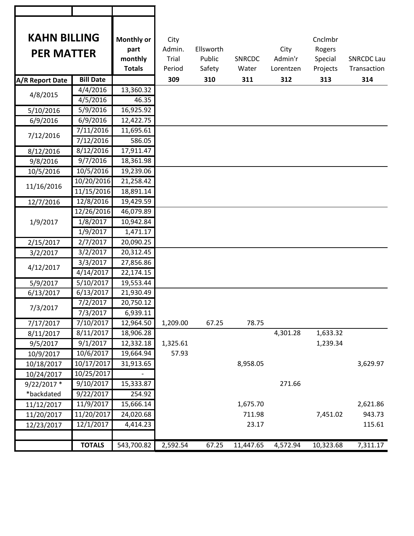| <b>KAHN BILLING</b><br><b>PER MATTER</b> |                  | Monthly or<br>part | City<br>Admin. | Ellsworth |               | City      | Cnclmbr<br>Rogers |                   |
|------------------------------------------|------------------|--------------------|----------------|-----------|---------------|-----------|-------------------|-------------------|
|                                          |                  | monthly            | Trial          | Public    | <b>SNRCDC</b> | Admin'r   | Special           | <b>SNRCDC Lau</b> |
|                                          |                  | <b>Totals</b>      | Period         | Safety    | Water         | Lorentzen | Projects          | Transaction       |
| A/R Report Date                          | <b>Bill Date</b> |                    | 309            | 310       | 311           | 312       | 313               | 314               |
| 4/8/2015                                 | 4/4/2016         | 13,360.32          |                |           |               |           |                   |                   |
|                                          | 4/5/2016         | 46.35              |                |           |               |           |                   |                   |
| 5/10/2016                                | 5/9/2016         | 16,925.92          |                |           |               |           |                   |                   |
| 6/9/2016                                 | 6/9/2016         | 12,422.75          |                |           |               |           |                   |                   |
| 7/12/2016                                | 7/11/2016        | 11,695.61          |                |           |               |           |                   |                   |
|                                          | 7/12/2016        | 586.05             |                |           |               |           |                   |                   |
| 8/12/2016                                | 8/12/2016        | 17,911.47          |                |           |               |           |                   |                   |
| 9/8/2016                                 | 9/7/2016         | 18,361.98          |                |           |               |           |                   |                   |
| 10/5/2016                                | 10/5/2016        | 19,239.06          |                |           |               |           |                   |                   |
| 11/16/2016                               | 10/20/2016       | 21,258.42          |                |           |               |           |                   |                   |
|                                          | 11/15/2016       | 18,891.14          |                |           |               |           |                   |                   |
| 12/7/2016                                | 12/8/2016        | 19,429.59          |                |           |               |           |                   |                   |
|                                          | 12/26/2016       | 46,079.89          |                |           |               |           |                   |                   |
| 1/9/2017                                 | 1/8/2017         | 10,942.84          |                |           |               |           |                   |                   |
|                                          | 1/9/2017         | 1,471.17           |                |           |               |           |                   |                   |
| 2/15/2017                                | 2/7/2017         | 20,090.25          |                |           |               |           |                   |                   |
| 3/2/2017                                 | 3/2/2017         | 20,312.45          |                |           |               |           |                   |                   |
| 4/12/2017                                | 3/3/2017         | 27,856.86          |                |           |               |           |                   |                   |
|                                          | 4/14/2017        | 22,174.15          |                |           |               |           |                   |                   |
| 5/9/2017                                 | 5/10/2017        | 19,553.44          |                |           |               |           |                   |                   |
| 6/13/2017                                | 6/13/2017        | 21,930.49          |                |           |               |           |                   |                   |
| 7/3/2017                                 | 7/2/2017         | 20,750.12          |                |           |               |           |                   |                   |
|                                          | 7/3/2017         | 6,939.11           |                |           |               |           |                   |                   |
| 7/17/2017                                | 7/10/2017        | 12,964.50          | 1,209.00       | 67.25     | 78.75         |           |                   |                   |
| 8/11/2017                                | 8/11/2017        | 18,906.28          |                |           |               | 4,301.28  | 1,633.32          |                   |
| 9/5/2017                                 | 9/1/2017         | 12,332.18          | 1,325.61       |           |               |           | 1,239.34          |                   |
| 10/9/2017                                | 10/6/2017        | 19,664.94          | 57.93          |           |               |           |                   |                   |
| 10/18/2017                               | 10/17/2017       | 31,913.65          |                |           | 8,958.05      |           |                   | 3,629.97          |
| 10/24/2017                               | 10/25/2017       |                    |                |           |               |           |                   |                   |
| 9/22/2017 *                              | 9/10/2017        | 15,333.87          |                |           |               | 271.66    |                   |                   |
| *backdated                               | 9/22/2017        | 254.92             |                |           |               |           |                   |                   |
| 11/12/2017                               | 11/9/2017        | 15,666.14          |                |           | 1,675.70      |           |                   | 2,621.86          |
| 11/20/2017                               | 11/20/2017       | 24,020.68          |                |           | 711.98        |           | 7,451.02          | 943.73            |
| 12/23/2017                               | 12/1/2017        | 4,414.23           |                |           | 23.17         |           |                   | 115.61            |
|                                          |                  |                    |                |           |               |           |                   |                   |
|                                          | <b>TOTALS</b>    | 543,700.82         | 2,592.54       | 67.25     | 11,447.65     | 4,572.94  | 10,323.68         | 7,311.17          |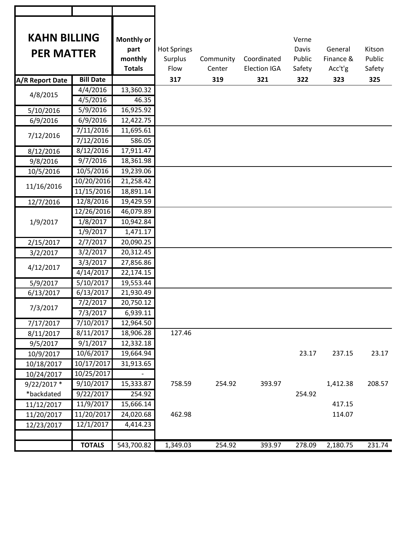| <b>KAHN BILLING</b><br><b>PER MATTER</b> |                  | <b>Monthly or</b><br>part | <b>Hot Springs</b> |           |                     | Verne<br>Davis | General   | Kitson |
|------------------------------------------|------------------|---------------------------|--------------------|-----------|---------------------|----------------|-----------|--------|
|                                          |                  | monthly                   | Surplus            | Community | Coordinated         | Public         | Finance & | Public |
|                                          |                  | <b>Totals</b>             | Flow               | Center    | <b>Election IGA</b> | Safety         | Acc't'g   | Safety |
| A/R Report Date                          | <b>Bill Date</b> |                           | 317                | 319       | 321                 | 322            | 323       | 325    |
|                                          | 4/4/2016         | 13,360.32                 |                    |           |                     |                |           |        |
| 4/8/2015                                 | 4/5/2016         | 46.35                     |                    |           |                     |                |           |        |
| 5/10/2016                                | 5/9/2016         | 16,925.92                 |                    |           |                     |                |           |        |
| 6/9/2016                                 | 6/9/2016         | 12,422.75                 |                    |           |                     |                |           |        |
| 7/12/2016                                | 7/11/2016        | 11,695.61                 |                    |           |                     |                |           |        |
|                                          | 7/12/2016        | 586.05                    |                    |           |                     |                |           |        |
| 8/12/2016                                | 8/12/2016        | 17,911.47                 |                    |           |                     |                |           |        |
| 9/8/2016                                 | 9/7/2016         | 18,361.98                 |                    |           |                     |                |           |        |
| 10/5/2016                                | 10/5/2016        | 19,239.06                 |                    |           |                     |                |           |        |
| 11/16/2016                               | 10/20/2016       | 21,258.42                 |                    |           |                     |                |           |        |
|                                          | 11/15/2016       | 18,891.14                 |                    |           |                     |                |           |        |
| 12/7/2016                                | 12/8/2016        | 19,429.59                 |                    |           |                     |                |           |        |
| 1/9/2017                                 | 12/26/2016       | 46,079.89                 |                    |           |                     |                |           |        |
|                                          | 1/8/2017         | 10,942.84                 |                    |           |                     |                |           |        |
|                                          | 1/9/2017         | 1,471.17                  |                    |           |                     |                |           |        |
| 2/15/2017                                | 2/7/2017         | 20,090.25                 |                    |           |                     |                |           |        |
| 3/2/2017                                 | 3/2/2017         | 20,312.45                 |                    |           |                     |                |           |        |
| 4/12/2017                                | 3/3/2017         | 27,856.86                 |                    |           |                     |                |           |        |
|                                          | 4/14/2017        | 22,174.15                 |                    |           |                     |                |           |        |
| 5/9/2017                                 | 5/10/2017        | 19,553.44                 |                    |           |                     |                |           |        |
| 6/13/2017                                | 6/13/2017        | 21,930.49                 |                    |           |                     |                |           |        |
| 7/3/2017                                 | 7/2/2017         | 20,750.12                 |                    |           |                     |                |           |        |
|                                          | 7/3/2017         | 6,939.11                  |                    |           |                     |                |           |        |
| 7/17/2017                                | 7/10/2017        | 12,964.50                 |                    |           |                     |                |           |        |
| 8/11/2017                                | 8/11/2017        | 18,906.28                 | 127.46             |           |                     |                |           |        |
| 9/5/2017                                 | 9/1/2017         | 12,332.18                 |                    |           |                     |                |           |        |
| 10/9/2017                                | 10/6/2017        | 19,664.94                 |                    |           |                     | 23.17          | 237.15    | 23.17  |
| 10/18/2017                               | 10/17/2017       | 31,913.65                 |                    |           |                     |                |           |        |
| 10/24/2017                               | 10/25/2017       |                           |                    |           |                     |                |           |        |
| 9/22/2017 *                              | 9/10/2017        | 15,333.87                 | 758.59             | 254.92    | 393.97              |                | 1,412.38  | 208.57 |
| *backdated                               | 9/22/2017        | 254.92                    |                    |           |                     | 254.92         |           |        |
| 11/12/2017                               | 11/9/2017        | 15,666.14                 |                    |           |                     |                | 417.15    |        |
| 11/20/2017                               | 11/20/2017       | 24,020.68                 | 462.98             |           |                     |                | 114.07    |        |
| 12/23/2017                               | 12/1/2017        | 4,414.23                  |                    |           |                     |                |           |        |
|                                          |                  |                           |                    |           |                     |                |           |        |
|                                          | <b>TOTALS</b>    | 543,700.82                | 1,349.03           | 254.92    | 393.97              | 278.09         | 2,180.75  | 231.74 |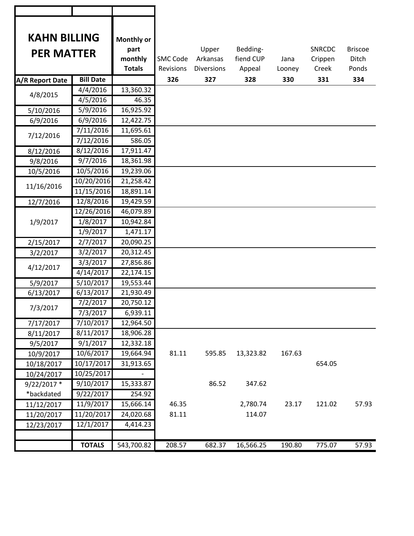| <b>KAHN BILLING</b><br><b>PER MATTER</b> |                        | Monthly or<br>part<br>monthly<br><b>Totals</b> | <b>SMC Code</b><br>Revisions | Upper<br>Arkansas<br><b>Diversions</b> | Bedding-<br>fiend CUP<br>Appeal | Jana<br>Looney | <b>SNRCDC</b><br>Crippen<br>Creek | <b>Briscoe</b><br>Ditch<br>Ponds |
|------------------------------------------|------------------------|------------------------------------------------|------------------------------|----------------------------------------|---------------------------------|----------------|-----------------------------------|----------------------------------|
| A/R Report Date                          | <b>Bill Date</b>       |                                                | 326                          | 327                                    | 328                             | 330            | 331                               | 334                              |
| 4/8/2015                                 | 4/4/2016               | 13,360.32                                      |                              |                                        |                                 |                |                                   |                                  |
|                                          | 4/5/2016               | 46.35                                          |                              |                                        |                                 |                |                                   |                                  |
| 5/10/2016                                | 5/9/2016               | 16,925.92                                      |                              |                                        |                                 |                |                                   |                                  |
| 6/9/2016                                 | 6/9/2016               | 12,422.75                                      |                              |                                        |                                 |                |                                   |                                  |
| 7/12/2016                                | 7/11/2016<br>7/12/2016 | 11,695.61<br>586.05                            |                              |                                        |                                 |                |                                   |                                  |
| 8/12/2016                                | 8/12/2016              | 17,911.47                                      |                              |                                        |                                 |                |                                   |                                  |
| 9/8/2016                                 | 9/7/2016               | 18,361.98                                      |                              |                                        |                                 |                |                                   |                                  |
| 10/5/2016                                | 10/5/2016              | 19,239.06                                      |                              |                                        |                                 |                |                                   |                                  |
|                                          | 10/20/2016             | 21,258.42                                      |                              |                                        |                                 |                |                                   |                                  |
| 11/16/2016                               | 11/15/2016             | 18,891.14                                      |                              |                                        |                                 |                |                                   |                                  |
| 12/7/2016                                | 12/8/2016              | 19,429.59                                      |                              |                                        |                                 |                |                                   |                                  |
|                                          | 12/26/2016             | 46,079.89                                      |                              |                                        |                                 |                |                                   |                                  |
| 1/9/2017                                 | 1/8/2017               | 10,942.84                                      |                              |                                        |                                 |                |                                   |                                  |
|                                          | 1/9/2017               | 1,471.17                                       |                              |                                        |                                 |                |                                   |                                  |
| 2/15/2017                                | 2/7/2017               | 20,090.25                                      |                              |                                        |                                 |                |                                   |                                  |
| 3/2/2017                                 | 3/2/2017               | 20,312.45                                      |                              |                                        |                                 |                |                                   |                                  |
|                                          | 3/3/2017               | 27,856.86                                      |                              |                                        |                                 |                |                                   |                                  |
| 4/12/2017                                | 4/14/2017              | 22,174.15                                      |                              |                                        |                                 |                |                                   |                                  |
| 5/9/2017                                 | 5/10/2017              | 19,553.44                                      |                              |                                        |                                 |                |                                   |                                  |
| 6/13/2017                                | 6/13/2017              | 21,930.49                                      |                              |                                        |                                 |                |                                   |                                  |
|                                          | 7/2/2017               | 20,750.12                                      |                              |                                        |                                 |                |                                   |                                  |
| 7/3/2017                                 | 7/3/2017               | 6,939.11                                       |                              |                                        |                                 |                |                                   |                                  |
| 7/17/2017                                | 7/10/2017              | 12,964.50                                      |                              |                                        |                                 |                |                                   |                                  |
| 8/11/2017                                | 8/11/2017              | 18,906.28                                      |                              |                                        |                                 |                |                                   |                                  |
| 9/5/2017                                 | 9/1/2017               | 12,332.18                                      |                              |                                        |                                 |                |                                   |                                  |
| 10/9/2017                                | 10/6/2017              | 19,664.94                                      | 81.11                        | 595.85                                 | 13,323.82                       | 167.63         |                                   |                                  |
| 10/18/2017                               | 10/17/2017             | 31,913.65                                      |                              |                                        |                                 |                | 654.05                            |                                  |
| 10/24/2017                               | 10/25/2017             |                                                |                              |                                        |                                 |                |                                   |                                  |
| 9/22/2017 *                              | 9/10/2017              | 15,333.87                                      |                              | 86.52                                  | 347.62                          |                |                                   |                                  |
| *backdated                               | 9/22/2017              | 254.92                                         |                              |                                        |                                 |                |                                   |                                  |
| 11/12/2017                               | 11/9/2017              | 15,666.14                                      | 46.35                        |                                        | 2,780.74                        | 23.17          | 121.02                            | 57.93                            |
| 11/20/2017                               | 11/20/2017             | 24,020.68                                      | 81.11                        |                                        | 114.07                          |                |                                   |                                  |
| 12/23/2017                               | 12/1/2017              | 4,414.23                                       |                              |                                        |                                 |                |                                   |                                  |
|                                          |                        |                                                |                              |                                        |                                 |                |                                   |                                  |
|                                          | <b>TOTALS</b>          | 543,700.82                                     | 208.57                       | 682.37                                 | 16,566.25                       | 190.80         | 775.07                            | 57.93                            |

٦

т